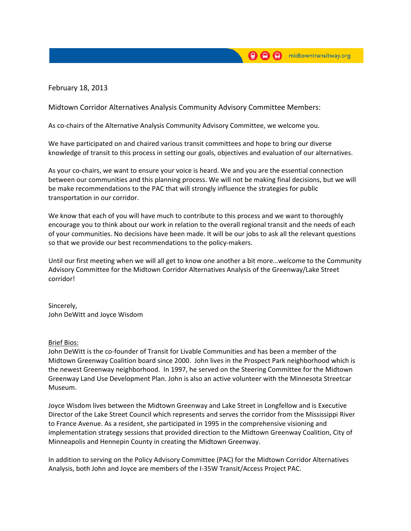February 18, 2013

Midtown Corridor Alternatives Analysis Community Advisory Committee Members:

As co-chairs of the Alternative Analysis Community Advisory Committee, we welcome you.

We have participated on and chaired various transit committees and hope to bring our diverse knowledge of transit to this process in setting our goals, objectives and evaluation of our alternatives.

As your co‐chairs, we want to ensure your voice is heard. We and you are the essential connection between our communities and this planning process. We will not be making final decisions, but we will be make recommendations to the PAC that will strongly influence the strategies for public transportation in our corridor.

We know that each of you will have much to contribute to this process and we want to thoroughly encourage you to think about our work in relation to the overall regional transit and the needs of each of your communities. No decisions have been made. It will be our jobs to ask all the relevant questions so that we provide our best recommendations to the policy‐makers.

Until our first meeting when we will all get to know one another a bit more…welcome to the Community Advisory Committee for the Midtown Corridor Alternatives Analysis of the Greenway/Lake Street corridor!

Sincerely, John DeWitt and Joyce Wisdom

## Brief Bios:

John DeWitt is the co‐founder of Transit for Livable Communities and has been a member of the Midtown Greenway Coalition board since 2000. John lives in the Prospect Park neighborhood which is the newest Greenway neighborhood. In 1997, he served on the Steering Committee for the Midtown Greenway Land Use Development Plan. John is also an active volunteer with the Minnesota Streetcar Museum.

Joyce Wisdom lives between the Midtown Greenway and Lake Street in Longfellow and is Executive Director of the Lake Street Council which represents and serves the corridor from the Mississippi River to France Avenue. As a resident, she participated in 1995 in the comprehensive visioning and implementation strategy sessions that provided direction to the Midtown Greenway Coalition, City of Minneapolis and Hennepin County in creating the Midtown Greenway.

In addition to serving on the Policy Advisory Committee (PAC) for the Midtown Corridor Alternatives Analysis, both John and Joyce are members of the I‐35W Transit/Access Project PAC.